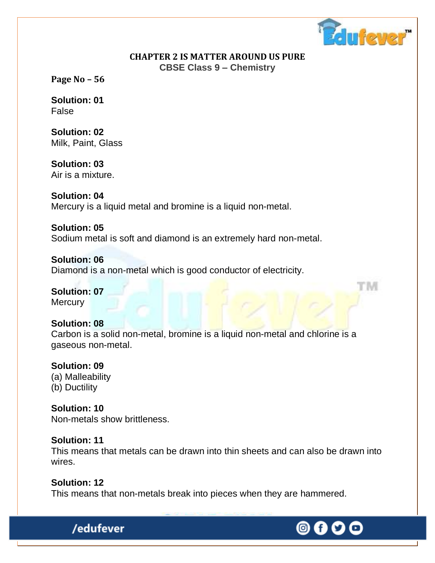

rм

#### **CHAPTER 2 IS MATTER AROUND US PURE CBSE Class 9 – Chemistry**

**Page No – 56**

**Solution: 01** False

**Solution: 02** Milk, Paint, Glass

**Solution: 03** Air is a mixture.

**Solution: 04** Mercury is a liquid metal and bromine is a liquid non-metal.

**Solution: 05** Sodium metal is soft and diamond is an extremely hard non-metal.

**Solution: 06** Diamond is a non-metal which is good conductor of electricity.

**Solution: 07 Mercury** 

## **Solution: 08**

Carbon is a solid non-metal, bromine is a liquid non-metal and chlorine is a gaseous non-metal.

#### **Solution: 09**

(a) Malleability (b) Ductility

**Solution: 10** Non-metals show brittleness.

/edufever

#### **Solution: 11**

This means that metals can be drawn into thin sheets and can also be drawn into wires.

**Solution: 12** This means that non-metals break into pieces when they are hammered.

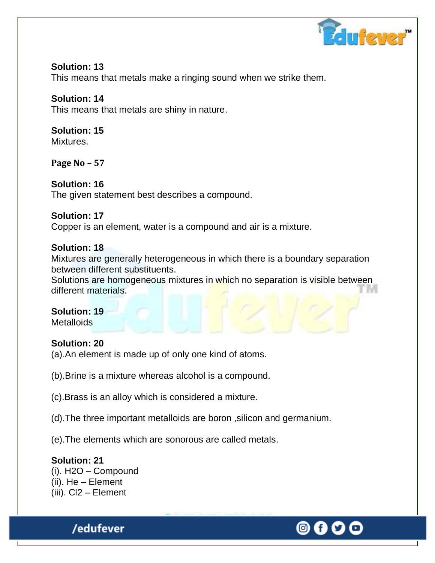

#### **Solution: 13** This means that metals make a ringing sound when we strike them.

## **Solution: 14**

This means that metals are shiny in nature.

# **Solution: 15**

Mixtures.

**Page No – 57**

## **Solution: 16**

The given statement best describes a compound.

## **Solution: 17**

Copper is an element, water is a compound and air is a mixture.

## **Solution: 18**

Mixtures are generally heterogeneous in which there is a boundary separation between different substituents.

Solutions are homogeneous mixtures in which no separation is visible between different materials.

## **Solution: 19**

**Metalloids** 

## **Solution: 20**

- (a).An element is made up of only one kind of atoms.
- (b).Brine is a mixture whereas alcohol is a compound.
- (c).Brass is an alloy which is considered a mixture.
- (d).The three important metalloids are boron ,silicon and germanium.
- (e).The elements which are sonorous are called metals.

#### **Solution: 21** (i). H2O – Compound (ii). He – Element (iii). Cl2 – Element

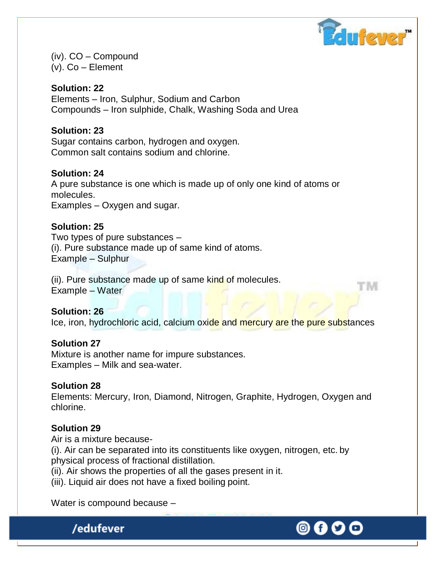

rм

(iv). CO – Compound (v). Co – Element

**Solution: 22** Elements – Iron, Sulphur, Sodium and Carbon Compounds – Iron sulphide, Chalk, Washing Soda and Urea

#### **Solution: 23**

Sugar contains carbon, hydrogen and oxygen. Common salt contains sodium and chlorine.

#### **Solution: 24**

A pure substance is one which is made up of only one kind of atoms or molecules.

Examples – Oxygen and sugar.

#### **Solution: 25**

Two types of pure substances – (i). Pure substance made up of same kind of atoms. Example – Sulphur

(ii). Pure substance made up of same kind of molecules. Example – Water

**Solution: 26**

Ice, iron, hydrochloric acid, calcium oxide and mercury are the pure substances

#### **Solution 27**

Mixture is another name for impure substances. Examples – Milk and sea-water.

#### **Solution 28**

Elements: Mercury, Iron, Diamond, Nitrogen, Graphite, Hydrogen, Oxygen and chlorine.

#### **Solution 29**

Air is a mixture because-

(i). Air can be separated into its constituents like oxygen, nitrogen, etc. by physical process of fractional distillation.

(ii). Air shows the properties of all the gases present in it.

(iii). Liquid air does not have a fixed boiling point.

Water is compound because –

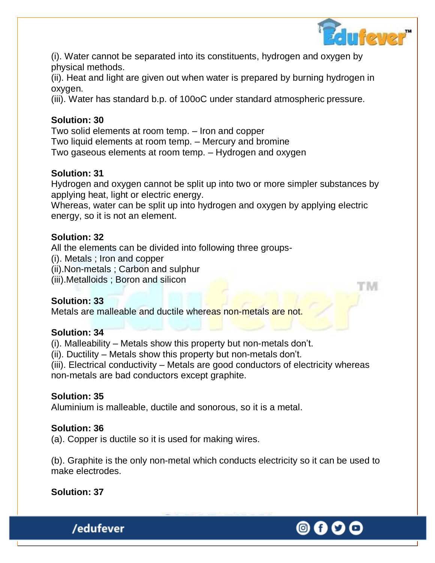

'N

O f

(i). Water cannot be separated into its constituents, hydrogen and oxygen by physical methods.

(ii). Heat and light are given out when water is prepared by burning hydrogen in oxygen.

(iii). Water has standard b.p. of 100oC under standard atmospheric pressure.

## **Solution: 30**

Two solid elements at room temp. – Iron and copper Two liquid elements at room temp. – Mercury and bromine Two gaseous elements at room temp. – Hydrogen and oxygen

## **Solution: 31**

Hydrogen and oxygen cannot be split up into two or more simpler substances by applying heat, light or electric energy.

Whereas, water can be split up into hydrogen and oxygen by applying electric energy, so it is not an element.

## **Solution: 32**

All the elements can be divided into following three groups-

(i). Metals ; Iron and copper

(ii).Non-metals ; Carbon and sulphur

(iii).Metalloids ; Boron and silicon

## **Solution: 33**

Metals are malleable and ductile whereas non-metals are not.

## **Solution: 34**

(i). Malleability – Metals show this property but non-metals don"t.

(ii). Ductility – Metals show this property but non-metals don"t.

(iii). Electrical conductivity – Metals are good conductors of electricity whereas non-metals are bad conductors except graphite.

## **Solution: 35**

Aluminium is malleable, ductile and sonorous, so it is a metal.

## **Solution: 36**

(a). Copper is ductile so it is used for making wires.

(b). Graphite is the only non-metal which conducts electricity so it can be used to make electrodes.

## **Solution: 37**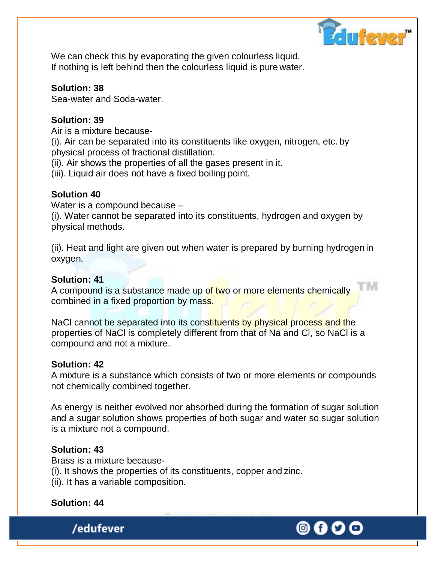

M

We can check this by evaporating the given colourless liquid. If nothing is left behind then the colourless liquid is pure water.

## **Solution: 38**

Sea-water and Soda-water.

## **Solution: 39**

Air is a mixture because-

(i). Air can be separated into its constituents like oxygen, nitrogen, etc. by physical process of fractional distillation.

(ii). Air shows the properties of all the gases present in it.

(iii). Liquid air does not have a fixed boiling point.

## **Solution 40**

Water is a compound because –

(i). Water cannot be separated into its constituents, hydrogen and oxygen by physical methods.

(ii). Heat and light are given out when water is prepared by burning hydrogen in oxygen.

## **Solution: 41**

A compound is a substance made up of two or more elements chemically combined in a fixed proportion by mass.

NaCl cannot be separated into its constituents by physical process and the properties of NaCl is completely different from that of Na and Cl, so NaCl is a compound and not a mixture.

## **Solution: 42**

A mixture is a substance which consists of two or more elements or compounds not chemically combined together.

As energy is neither evolved nor absorbed during the formation of sugar solution and a sugar solution shows properties of both sugar and water so sugar solution is a mixture not a compound.

## **Solution: 43**

Brass is a mixture because-

(i). It shows the properties of its constituents, copper and zinc.

(ii). It has a variable composition.

## **Solution: 44**



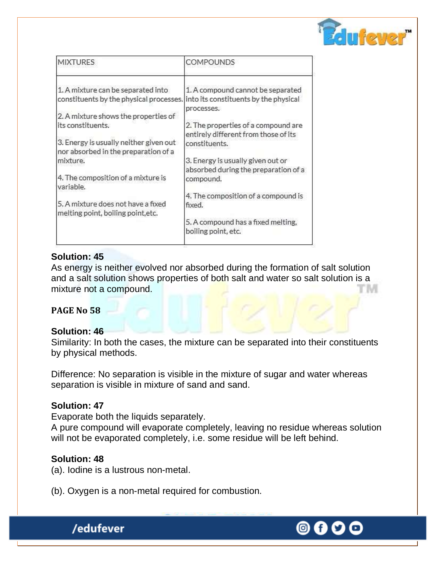

| <b>MIXTURES</b>                                                                                                     | COMPOUNDS                                                                   |
|---------------------------------------------------------------------------------------------------------------------|-----------------------------------------------------------------------------|
| 1. A mixture can be separated into<br>constituents by the physical processes. Into its constituents by the physical | 1. A compound cannot be separated<br>processes.                             |
| 2. A mixture shows the properties of                                                                                |                                                                             |
| its constituents.                                                                                                   | 2. The properties of a compound are<br>entirely different from those of its |
| 3. Energy is usually neither given out<br>nor absorbed in the preparation of a                                      | constituents.                                                               |
| mixture.                                                                                                            | 3. Energy is usually given out or<br>absorbed during the preparation of a   |
| 4. The composition of a mixture is<br>variable.                                                                     | compound.                                                                   |
|                                                                                                                     | 4. The composition of a compound is                                         |
| 5. A mixture does not have a fixed<br>melting point, boiling point, etc.                                            | fixed.                                                                      |
|                                                                                                                     | 5. A compound has a fixed melting,<br>boiling point, etc.                   |

## **Solution: 45**

As energy is neither evolved nor absorbed during the formation of salt solution and a salt solution shows properties of both salt and water so salt solution is a mixture not a compound. M

#### **PAGE No 58**

#### **Solution: 46**

Similarity: In both the cases, the mixture can be separated into their constituents by physical methods.

Difference: No separation is visible in the mixture of sugar and water whereas separation is visible in mixture of sand and sand.

#### **Solution: 47**

Evaporate both the liquids separately.

A pure compound will evaporate completely, leaving no residue whereas solution will not be evaporated completely, i.e. some residue will be left behind.

#### **Solution: 48**

(a). Iodine is a lustrous non-metal.

(b). Oxygen is a non-metal required for combustion.



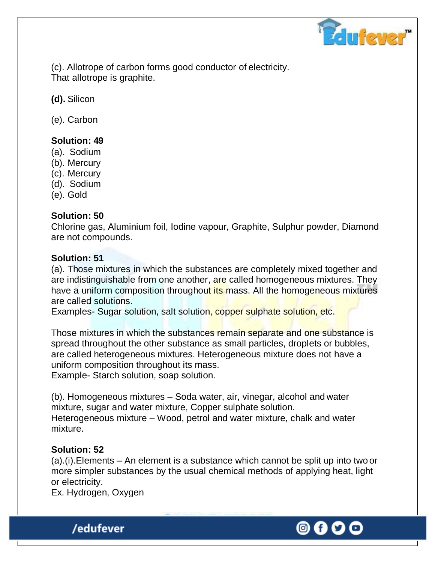

(c). Allotrope of carbon forms good conductor of electricity. That allotrope is graphite.

**(d).** Silicon

(e). Carbon

## **Solution: 49**

- (a). Sodium
- (b). Mercury
- (c). Mercury
- (d). Sodium
- (e). Gold

### **Solution: 50**

Chlorine gas, Aluminium foil, Iodine vapour, Graphite, Sulphur powder, Diamond are not compounds.

### **Solution: 51**

(a). Those mixtures in which the substances are completely mixed together and are indistinguishable from one another, are called homogeneous mixtures. They have a uniform composition throughout its mass. All the homogeneous mixtures are called solutions.

Examples- Sugar solution, salt solution, copper sulphate solution, etc.

Those mixtures in which the substances remain separate and one substance is spread throughout the other substance as small particles, droplets or bubbles, are called heterogeneous mixtures. Heterogeneous mixture does not have a uniform composition throughout its mass. Example- Starch solution, soap solution.

(b). Homogeneous mixtures – Soda water, air, vinegar, alcohol and water mixture, sugar and water mixture, Copper sulphate solution. Heterogeneous mixture – Wood, petrol and water mixture, chalk and water mixture.

#### **Solution: 52**

(a).(i).Elements – An element is a substance which cannot be split up into two or more simpler substances by the usual chemical methods of applying heat, light or electricity.

Ex. Hydrogen, Oxygen

/edufever

(0) (f)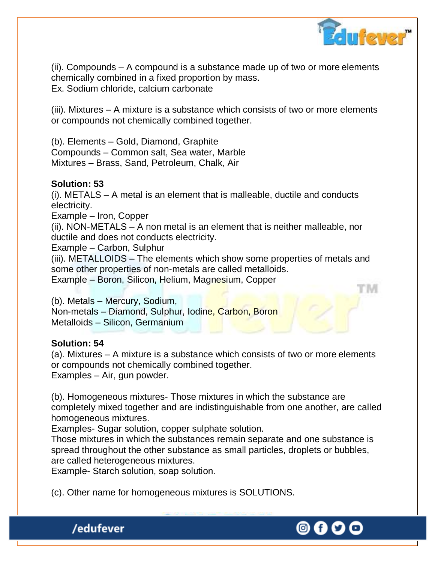

(ii). Compounds – A compound is a substance made up of two or more elements chemically combined in a fixed proportion by mass. Ex. Sodium chloride, calcium carbonate

(iii). Mixtures – A mixture is a substance which consists of two or more elements or compounds not chemically combined together.

(b). Elements – Gold, Diamond, Graphite

Compounds – Common salt, Sea water, Marble Mixtures – Brass, Sand, Petroleum, Chalk, Air

### **Solution: 53**

(i). METALS – A metal is an element that is malleable, ductile and conducts electricity.

Example – Iron, Copper

(ii). NON-METALS – A non metal is an element that is neither malleable, nor ductile and does not conducts electricity.

Example – Carbon, Sulphur

(iii). METALLOIDS – The elements which show some properties of metals and some other properties of non-metals are called metalloids.

Example – Boron, Silicon, Helium, Magnesium, Copper

(b). Metals – Mercury, Sodium, Non-metals – Diamond, Sulphur, Iodine, Carbon, Boron Metalloids – Silicon, Germanium

## **Solution: 54**

(a). Mixtures – A mixture is a substance which consists of two or more elements or compounds not chemically combined together. Examples – Air, gun powder.

(b). Homogeneous mixtures- Those mixtures in which the substance are completely mixed together and are indistinguishable from one another, are called homogeneous mixtures.

Examples- Sugar solution, copper sulphate solution.

Those mixtures in which the substances remain separate and one substance is spread throughout the other substance as small particles, droplets or bubbles, are called heterogeneous mixtures.

Example- Starch solution, soap solution.

/edufever

(c). Other name for homogeneous mixtures is SOLUTIONS.

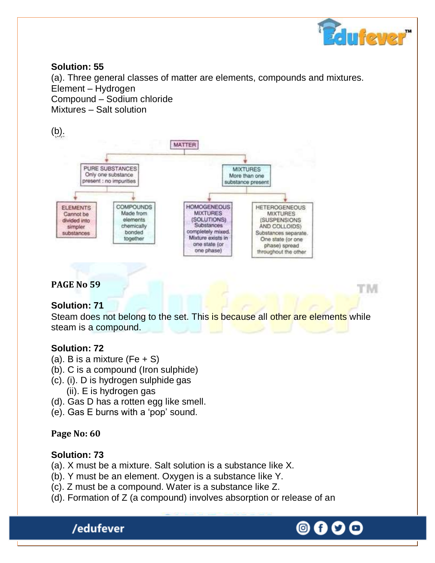

'M

#### **Solution: 55**

(a). Three general classes of matter are elements, compounds and mixtures. Element – Hydrogen Compound – Sodium chloride Mixtures – Salt solution

## (b).



## **PAGE No 59**

## **Solution: 71**

Steam does not belong to the set. This is because all other are elements while steam is a compound.

#### **Solution: 72**

- (a). B is a mixture (Fe  $+$  S)
- (b). C is a compound (Iron sulphide)
- (c). (i). D is hydrogen sulphide gas (ii). E is hydrogen gas
- (d). Gas D has a rotten egg like smell.
- (e). Gas E burns with a "pop" sound.

## **Page No: 60**

#### **Solution: 73**

- (a). X must be a mixture. Salt solution is a substance like X.
- (b). Y must be an element. Oxygen is a substance like Y.
- (c). Z must be a compound. Water is a substance like Z.
- (d). Formation of Z (a compound) involves absorption or release of an

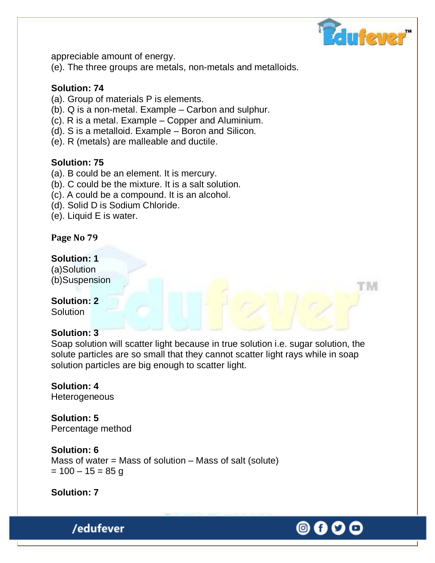

'N

appreciable amount of energy.

(e). The three groups are metals, non-metals and metalloids.

## **Solution: 74**

- (a). Group of materials P is elements.
- (b). Q is a non-metal. Example Carbon and sulphur.
- (c). R is a metal. Example Copper and Aluminium.
- (d). S is a metalloid. Example Boron and Silicon.
- (e). R (metals) are malleable and ductile.

## **Solution: 75**

- (a). B could be an element. It is mercury.
- (b). C could be the mixture. It is a salt solution.
- (c). A could be a compound. It is an alcohol.
- (d). Solid D is Sodium Chloride.
- (e). Liquid E is water.

#### **Page No 79**

### **Solution: 1**

(a)Solution (b)Suspension

## **Solution: 2**

**Solution** 

#### **Solution: 3**

Soap solution will scatter light because in true solution i.e. sugar solution, the solute particles are so small that they cannot scatter light rays while in soap solution particles are big enough to scatter light.

# **Solution: 4**

**Heterogeneous** 

**Solution: 5** Percentage method

#### **Solution: 6**

Mass of water  $=$  Mass of solution  $-$  Mass of salt (solute)  $= 100 - 15 = 85$  g

**Solution: 7**

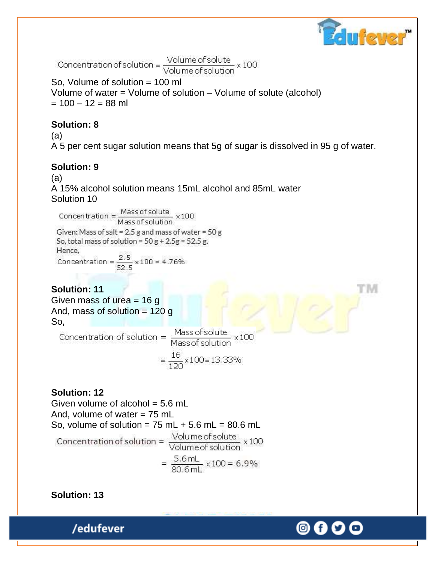

M

[O]

Concentration of solution =  $\frac{\text{Volume of solute}}{\text{Volume of solution}} \times 100$ 

So, Volume of solution = 100 ml Volume of water = Volume of solution – Volume of solute (alcohol)  $= 100 - 12 = 88$  ml

## **Solution: 8**

(a) A 5 per cent sugar solution means that 5g of sugar is dissolved in 95 g of water.

## **Solution: 9**

(a) A 15% alcohol solution means 15mL alcohol and 85mL water Solution 10

Concentration =  $\frac{\text{Mass of solute}}{\text{Mass of solution}} \times 100$ Given: Mass of salt = 2.5 g and mass of water = 50 g So, total mass of solution =  $50 g + 2.5 g = 52.5 g$ . Hence, Concentration =  $\frac{2.5}{52.5} \times 100 = 4.76\%$ 

## **Solution: 11**

Given mass of urea  $= 16$  g And, mass of solution  $= 120$  g

**So,**<br>Concentration of solution =  $\frac{Massofsolute}{Massofsolution} \times 100$  $=\frac{16}{120} \times 100 = 13.33\%$ 

**Solution: 12** Given volume of alcohol  $= 5.6$  mL And, volume of water  $= 75$  mL So, volume of solution = 75 mL + 5.6 mL = 80.6 mL<br>Concentration of solution =  $\frac{\text{Volume of solute}}{\text{Volume of solution}} \times 100$  $=\frac{5.6 \text{ mL}}{80.6 \text{ m}} \times 100 = 6.9\%$ 

**Solution: 13**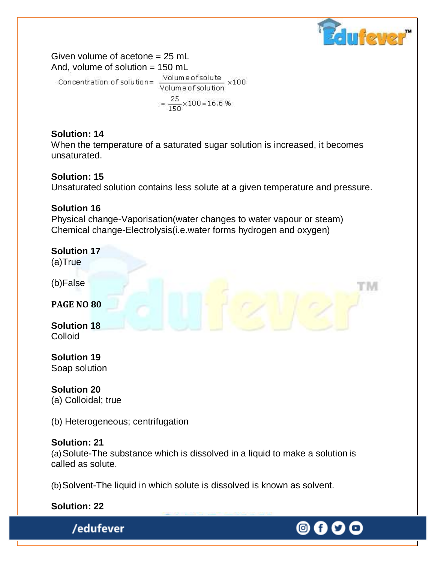

M

Given volume of acetone = 25 mL And, volume of solution = 150 mL Concentration of solution= $\frac{\text{Volume of} \times 100}{\text{Volume of} \times 100}$ 

 $=\frac{25}{150} \times 100 = 16.6$  %

## **Solution: 14**

When the temperature of a saturated sugar solution is increased, it becomes unsaturated.

## **Solution: 15**

Unsaturated solution contains less solute at a given temperature and pressure.

## **Solution 16**

Physical change-Vaporisation(water changes to water vapour or steam) Chemical change-Electrolysis(i.e.water forms hydrogen and oxygen)

# **Solution 17**

(a)True

(b)False

**PAGE NO 80**

**Solution 18** Colloid

**Solution 19** Soap solution

**Solution 20** (a) Colloidal; true

(b) Heterogeneous; centrifugation

## **Solution: 21**

(a)Solute-The substance which is dissolved in a liquid to make a solution is called as solute.

(b)Solvent-The liquid in which solute is dissolved is known as solvent.

**Solution: 22**

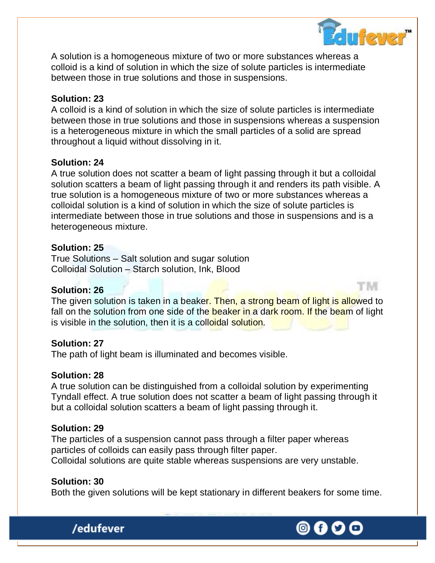

A solution is a homogeneous mixture of two or more substances whereas a colloid is a kind of solution in which the size of solute particles is intermediate between those in true solutions and those in suspensions.

#### **Solution: 23**

A colloid is a kind of solution in which the size of solute particles is intermediate between those in true solutions and those in suspensions whereas a suspension is a heterogeneous mixture in which the small particles of a solid are spread throughout a liquid without dissolving in it.

#### **Solution: 24**

A true solution does not scatter a beam of light passing through it but a colloidal solution scatters a beam of light passing through it and renders its path visible. A true solution is a homogeneous mixture of two or more substances whereas a colloidal solution is a kind of solution in which the size of solute particles is intermediate between those in true solutions and those in suspensions and is a heterogeneous mixture.

#### **Solution: 25**

True Solutions – Salt solution and sugar solution Colloidal Solution – Starch solution, Ink, Blood

#### **Solution: 26**

The given solution is taken in a beaker. Then, a strong beam of light is allowed to fall on the solution from one side of the beaker in a dark room. If the beam of light is visible in the solution, then it is a colloidal solution.

#### **Solution: 27**

The path of light beam is illuminated and becomes visible.

#### **Solution: 28**

A true solution can be distinguished from a colloidal solution by experimenting Tyndall effect. A true solution does not scatter a beam of light passing through it but a colloidal solution scatters a beam of light passing through it.

#### **Solution: 29**

The particles of a suspension cannot pass through a filter paper whereas particles of colloids can easily pass through filter paper. Colloidal solutions are quite stable whereas suspensions are very unstable.

#### **Solution: 30**

/edufever

Both the given solutions will be kept stationary in different beakers for some time.

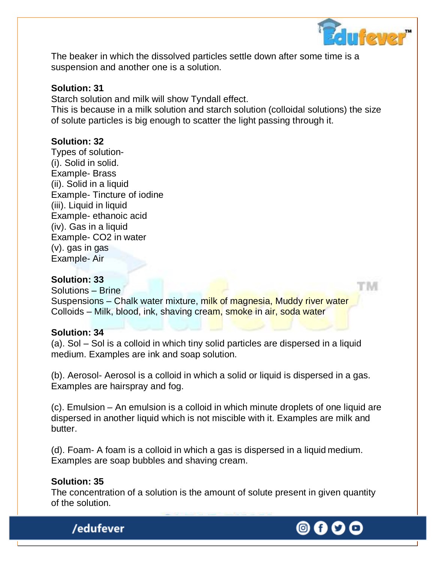

r M

The beaker in which the dissolved particles settle down after some time is a suspension and another one is a solution.

#### **Solution: 31**

Starch solution and milk will show Tyndall effect.

This is because in a milk solution and starch solution (colloidal solutions) the size of solute particles is big enough to scatter the light passing through it.

#### **Solution: 32**

Types of solution- (i). Solid in solid. Example- Brass (ii). Solid in a liquid Example- Tincture of iodine (iii). Liquid in liquid Example- ethanoic acid (iv). Gas in a liquid Example- CO2 in water (v). gas in gas Example- Air

#### **Solution: 33**

Solutions – Brine Suspensions – Chalk water mixture, milk of magnesia, Muddy river water Colloids – Milk, blood, ink, shaving cream, smoke in air, soda water

#### **Solution: 34**

(a). Sol – Sol is a colloid in which tiny solid particles are dispersed in a liquid medium. Examples are ink and soap solution.

(b). Aerosol- Aerosol is a colloid in which a solid or liquid is dispersed in a gas. Examples are hairspray and fog.

(c). Emulsion – An emulsion is a colloid in which minute droplets of one liquid are dispersed in another liquid which is not miscible with it. Examples are milk and butter.

(d). Foam- A foam is a colloid in which a gas is dispersed in a liquid medium. Examples are soap bubbles and shaving cream.

#### **Solution: 35**

/edufever

The concentration of a solution is the amount of solute present in given quantity of the solution.

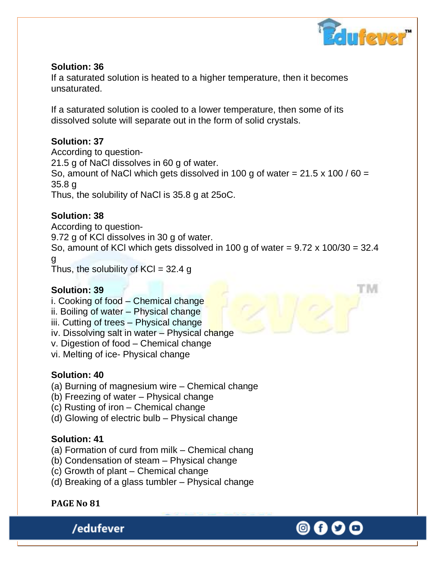

## **Solution: 36**

If a saturated solution is heated to a higher temperature, then it becomes unsaturated.

If a saturated solution is cooled to a lower temperature, then some of its dissolved solute will separate out in the form of solid crystals.

## **Solution: 37**

According to question-21.5 g of NaCl dissolves in 60 g of water. So, amount of NaCl which gets dissolved in 100 g of water =  $21.5 \times 100 / 60 =$ 35.8 g Thus, the solubility of NaCl is 35.8 g at 25oC.

## **Solution: 38**

According to question-9.72 g of KCl dissolves in 30 g of water. So, amount of KCl which gets dissolved in 100 g of water =  $9.72 \times 100/30 = 32.4$ g Thus, the solubility of  $KCI = 32.4$  g

## **Solution: 39**

i. Cooking of food – Chemical change

- ii. Boiling of water Physical change
- iii. Cutting of trees Physical change
- iv. Dissolving salt in water Physical change
- v. Digestion of food Chemical change
- vi. Melting of ice- Physical change

## **Solution: 40**

- (a) Burning of magnesium wire Chemical change
- (b) Freezing of water Physical change
- (c) Rusting of iron Chemical change
- (d) Glowing of electric bulb Physical change

## **Solution: 41**

- (a) Formation of curd from milk Chemical chang
- (b) Condensation of steam Physical change
- (c) Growth of plant Chemical change
- (d) Breaking of a glass tumbler Physical change

## **PAGE No 81**

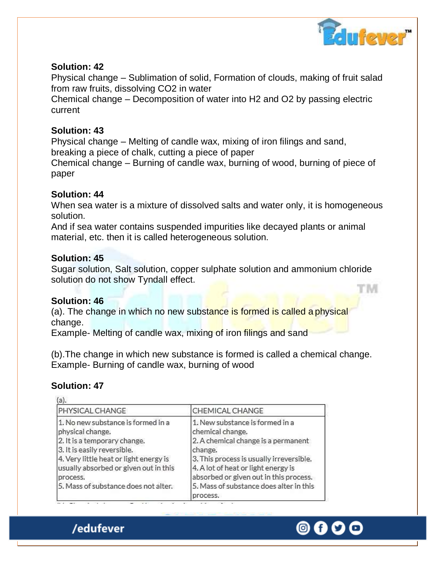

#### **Solution: 42**

Physical change – Sublimation of solid, Formation of clouds, making of fruit salad from raw fruits, dissolving CO2 in water

Chemical change – Decomposition of water into H2 and O2 by passing electric current

### **Solution: 43**

Physical change – Melting of candle wax, mixing of iron filings and sand, breaking a piece of chalk, cutting a piece of paper

Chemical change – Burning of candle wax, burning of wood, burning of piece of paper

### **Solution: 44**

When sea water is a mixture of dissolved salts and water only, it is homogeneous solution.

And if sea water contains suspended impurities like decayed plants or animal material, etc. then it is called heterogeneous solution.

## **Solution: 45**

Sugar solution, Salt solution, copper sulphate solution and ammonium chloride solution do not show Tyndall effect. 'N

#### **Solution: 46**

(a). The change in which no new substance is formed is called a physical change.

Example- Melting of candle wax, mixing of iron filings and sand

(b).The change in which new substance is formed is called a chemical change. Example- Burning of candle wax, burning of wood

## **Solution: 47**

| PHYSICAL CHANGE                                                                                                                                                                                                                                              | CHEMICAL CHANGE                                                                                                                                                                                                                                                                           |
|--------------------------------------------------------------------------------------------------------------------------------------------------------------------------------------------------------------------------------------------------------------|-------------------------------------------------------------------------------------------------------------------------------------------------------------------------------------------------------------------------------------------------------------------------------------------|
| 1. No new substance is formed in a<br>physical change.<br>2. It is a temporary change.<br>3. It is easily reversible.<br>4. Very little heat or light energy is<br>usually absorbed or given out in this<br>process.<br>5. Mass of substance does not alter. | 1. New substance is formed in a<br>chemical change.<br>2. A chemical change is a permanent<br>change.<br>3. This process is usually irreversible.<br>4. A lot of heat or light energy is<br>absorbed or given out in this process.<br>5. Mass of substance does alter in this<br>process. |

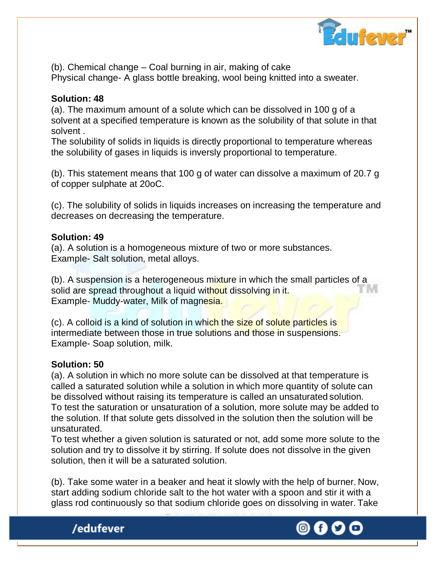

(b). Chemical change – Coal burning in air, making of cake Physical change- A glass bottle breaking, wool being knitted into a sweater.

## **Solution: 48**

(a). The maximum amount of a solute which can be dissolved in 100 g of a solvent at a specified temperature is known as the solubility of that solute in that solvent .

The solubility of solids in liquids is directly proportional to temperature whereas the solubility of gases in liquids is inversly proportional to temperature.

(b). This statement means that 100 g of water can dissolve a maximum of 20.7 g of copper sulphate at 20oC.

(c). The solubility of solids in liquids increases on increasing the temperature and decreases on decreasing the temperature.

### **Solution: 49**

(a). A solution is a homogeneous mixture of two or more substances. Example- Salt solution, metal alloys.

(b). A suspension is a heterogeneous mixture in which the small particles of a solid are spread throughout a liquid without dissolving in it. Example- Muddy-water, Milk of magnesia.

(c). A colloid is a kind of solution in which the size of solute particles is intermediate between those in true solutions and those in suspensions. Example- Soap solution, milk.

## **Solution: 50**

(a). A solution in which no more solute can be dissolved at that temperature is called a saturated solution while a solution in which more quantity of solute can be dissolved without raising its temperature is called an unsaturated solution. To test the saturation or unsaturation of a solution, more solute may be added to the solution. If that solute gets dissolved in the solution then the solution will be unsaturated.

To test whether a given solution is saturated or not, add some more solute to the solution and try to dissolve it by stirring. If solute does not dissolve in the given solution, then it will be a saturated solution.

(b). Take some water in a beaker and heat it slowly with the help of burner. Now, start adding sodium chloride salt to the hot water with a spoon and stir it with a glass rod continuously so that sodium chloride goes on dissolving in water. Take



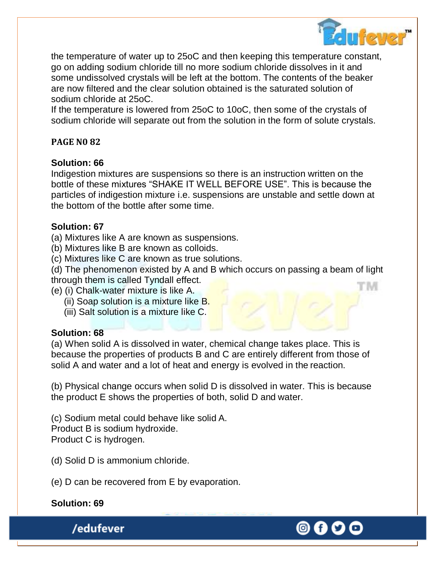

the temperature of water up to 25oC and then keeping this temperature constant, go on adding sodium chloride till no more sodium chloride dissolves in it and some undissolved crystals will be left at the bottom. The contents of the beaker are now filtered and the clear solution obtained is the saturated solution of sodium chloride at 25oC.

If the temperature is lowered from 25oC to 10oC, then some of the crystals of sodium chloride will separate out from the solution in the form of solute crystals.

## **PAGE N0 82**

## **Solution: 66**

Indigestion mixtures are suspensions so there is an instruction written on the bottle of these mixtures "SHAKE IT WELL BEFORE USE". This is because the particles of indigestion mixture i.e. suspensions are unstable and settle down at the bottom of the bottle after some time.

## **Solution: 67**

(a) Mixtures like A are known as suspensions.

(b) Mixtures like B are known as colloids.

(c) Mixtures like C are known as true solutions.

(d) The phenomenon existed by A and B which occurs on passing a beam of light through them is called Tyndall effect. 'IM

- (e) (i) Chalk-water mixture is like A.
	- (ii) Soap solution is a mixture like B.
	- (iii) Salt solution is a mixture like C.

## **Solution: 68**

(a) When solid A is dissolved in water, chemical change takes place. This is because the properties of products B and C are entirely different from those of solid A and water and a lot of heat and energy is evolved in the reaction.

(b) Physical change occurs when solid D is dissolved in water. This is because the product E shows the properties of both, solid D and water.

(c) Sodium metal could behave like solid A. Product B is sodium hydroxide. Product C is hydrogen.

(d) Solid D is ammonium chloride.

(e) D can be recovered from E by evaporation.

## **Solution: 69**

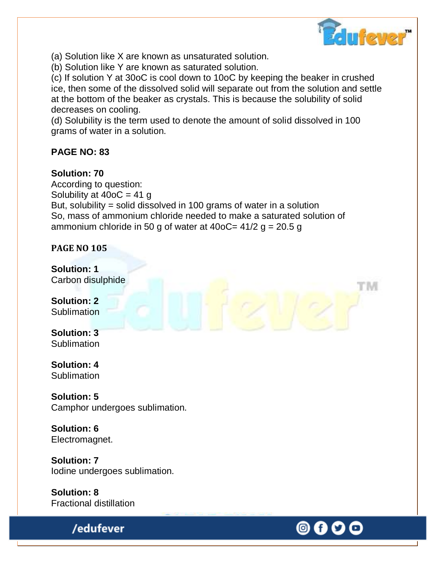

M

(a) Solution like X are known as unsaturated solution.

(b) Solution like Y are known as saturated solution.

(c) If solution Y at 30oC is cool down to 10oC by keeping the beaker in crushed ice, then some of the dissolved solid will separate out from the solution and settle at the bottom of the beaker as crystals. This is because the solubility of solid decreases on cooling.

(d) Solubility is the term used to denote the amount of solid dissolved in 100 grams of water in a solution.

## **PAGE NO: 83**

## **Solution: 70**

According to question: Solubility at  $400C = 41 g$ But, solubility = solid dissolved in 100 grams of water in a solution So, mass of ammonium chloride needed to make a saturated solution of ammonium chloride in 50 g of water at 40oC=  $41/2$  g = 20.5 g

**PAGE NO 105**

**Solution: 1** Carbon disulphide

**Solution: 2 Sublimation** 

**Solution: 3 Sublimation** 

**Solution: 4 Sublimation** 

**Solution: 5** Camphor undergoes sublimation.

**Solution: 6** Electromagnet.

**Solution: 7** Iodine undergoes sublimation.

**Solution: 8** Fractional distillation

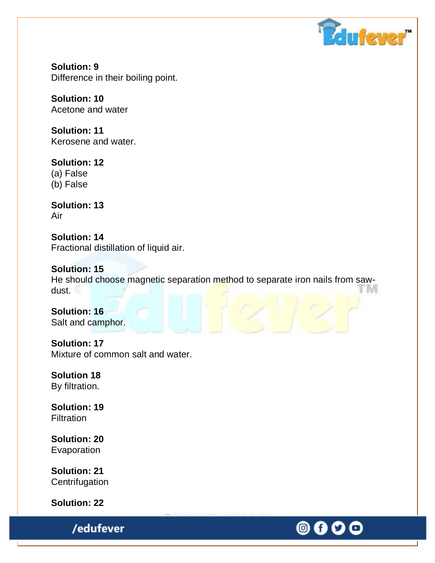

**Solution: 9** Difference in their boiling point.

**Solution: 10** Acetone and water

**Solution: 11** Kerosene and water.

**Solution: 12** (a) False (b) False

**Solution: 13** Air

**Solution: 14** Fractional distillation of liquid air.

**Solution: 15** He should choose magnetic separation method to separate iron nails from sawdust.

**Solution: 16** Salt and camphor.

**Solution: 17** Mixture of common salt and water.

**Solution 18** By filtration.

**Solution: 19 Filtration** 

**Solution: 20** Evaporation

**Solution: 21 Centrifugation** 

**Solution: 22**

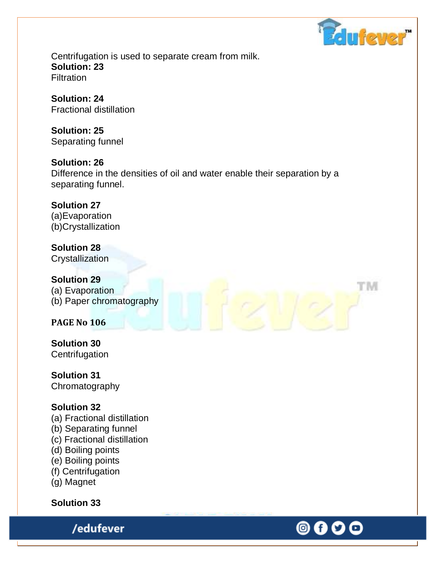

rм

◎ 0 0

Centrifugation is used to separate cream from milk. **Solution: 23 Filtration** 

**Solution: 24** Fractional distillation

**Solution: 25** Separating funnel

**Solution: 26** Difference in the densities of oil and water enable their separation by a separating funnel.

**Solution 27**  (a)Evaporation (b)Crystallization

**Solution 28 Crystallization** 

**Solution 29** (a) Evaporation (b) Paper chromatography

**PAGE No 106**

**Solution 30 Centrifugation** 

**Solution 31** Chromatography

## **Solution 32**

(a) Fractional distillation

- (b) Separating funnel
- (c) Fractional distillation
- (d) Boiling points
- (e) Boiling points
- (f) Centrifugation
- (g) Magnet

**Solution 33**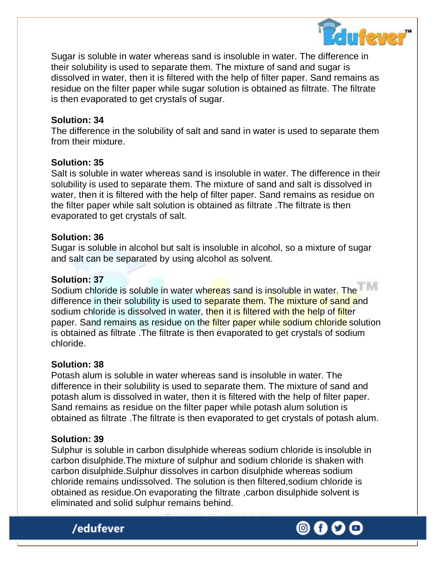

Sugar is soluble in water whereas sand is insoluble in water. The difference in their solubility is used to separate them. The mixture of sand and sugar is dissolved in water, then it is filtered with the help of filter paper. Sand remains as residue on the filter paper while sugar solution is obtained as filtrate. The filtrate is then evaporated to get crystals of sugar.

#### **Solution: 34**

The difference in the solubility of salt and sand in water is used to separate them from their mixture.

#### **Solution: 35**

Salt is soluble in water whereas sand is insoluble in water. The difference in their solubility is used to separate them. The mixture of sand and salt is dissolved in water, then it is filtered with the help of filter paper. Sand remains as residue on the filter paper while salt solution is obtained as filtrate .The filtrate is then evaporated to get crystals of salt.

#### **Solution: 36**

Sugar is soluble in alcohol but salt is insoluble in alcohol, so a mixture of sugar and salt can be separated by using alcohol as solvent.

## **Solution: 37**

Sodium chloride is soluble in water whereas sand is insoluble in water. The difference in their solubility is used to separate them. The mixture of sand and sodium chloride is dissolved in water, then it is filtered with the help of filter paper. Sand remains as residue on the filter paper while sodium chloride solution is obtained as filtrate .The filtrate is then evaporated to get crystals of sodium chloride.

#### **Solution: 38**

Potash alum is soluble in water whereas sand is insoluble in water. The difference in their solubility is used to separate them. The mixture of sand and potash alum is dissolved in water, then it is filtered with the help of filter paper. Sand remains as residue on the filter paper while potash alum solution is obtained as filtrate .The filtrate is then evaporated to get crystals of potash alum.

#### **Solution: 39**

Sulphur is soluble in carbon disulphide whereas sodium chloride is insoluble in carbon disulphide.The mixture of sulphur and sodium chloride is shaken with carbon disulphide.Sulphur dissolves in carbon disulphide whereas sodium chloride remains undissolved. The solution is then filtered,sodium chloride is obtained as residue.On evaporating the filtrate ,carbon disulphide solvent is eliminated and solid sulphur remains behind.



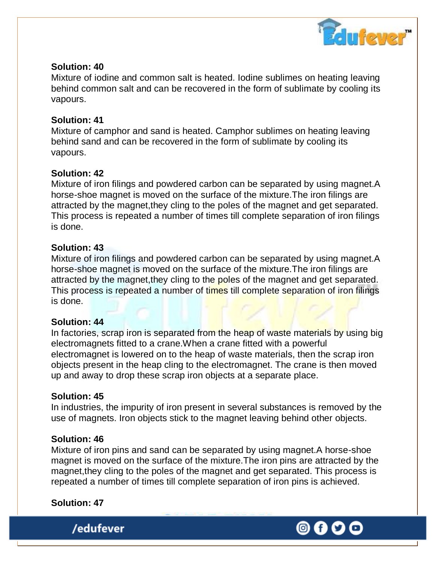

#### **Solution: 40**

Mixture of iodine and common salt is heated. Iodine sublimes on heating leaving behind common salt and can be recovered in the form of sublimate by cooling its vapours.

#### **Solution: 41**

Mixture of camphor and sand is heated. Camphor sublimes on heating leaving behind sand and can be recovered in the form of sublimate by cooling its vapours.

#### **Solution: 42**

Mixture of iron filings and powdered carbon can be separated by using magnet.A horse-shoe magnet is moved on the surface of the mixture.The iron filings are attracted by the magnet,they cling to the poles of the magnet and get separated. This process is repeated a number of times till complete separation of iron filings is done.

#### **Solution: 43**

Mixture of iron filings and powdered carbon can be separated by using magnet.A horse-shoe magnet is moved on the surface of the mixture.The iron filings are attracted by the magnet,they cling to the poles of the magnet and get separated. This process is repeated a number of times till complete separation of iron filings is done.

#### **Solution: 44**

In factories, scrap iron is separated from the heap of waste materials by using big electromagnets fitted to a crane.When a crane fitted with a powerful electromagnet is lowered on to the heap of waste materials, then the scrap iron objects present in the heap cling to the electromagnet. The crane is then moved up and away to drop these scrap iron objects at a separate place.

#### **Solution: 45**

In industries, the impurity of iron present in several substances is removed by the use of magnets. Iron objects stick to the magnet leaving behind other objects.

#### **Solution: 46**

Mixture of iron pins and sand can be separated by using magnet.A horse-shoe magnet is moved on the surface of the mixture.The iron pins are attracted by the magnet,they cling to the poles of the magnet and get separated. This process is repeated a number of times till complete separation of iron pins is achieved.

#### **Solution: 47**

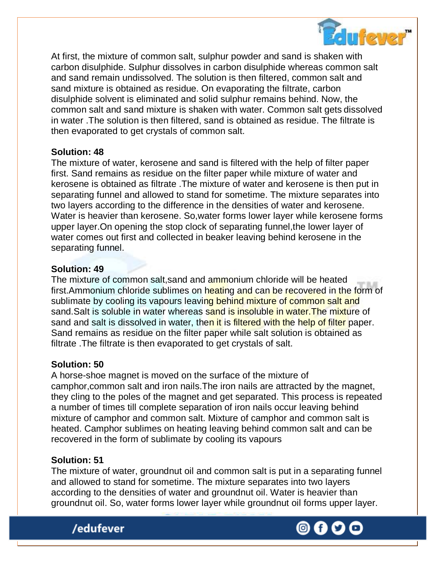

At first, the mixture of common salt, sulphur powder and sand is shaken with carbon disulphide. Sulphur dissolves in carbon disulphide whereas common salt and sand remain undissolved. The solution is then filtered, common salt and sand mixture is obtained as residue. On evaporating the filtrate, carbon disulphide solvent is eliminated and solid sulphur remains behind. Now, the common salt and sand mixture is shaken with water. Common salt gets dissolved in water .The solution is then filtered, sand is obtained as residue. The filtrate is then evaporated to get crystals of common salt.

#### **Solution: 48**

The mixture of water, kerosene and sand is filtered with the help of filter paper first. Sand remains as residue on the filter paper while mixture of water and kerosene is obtained as filtrate .The mixture of water and kerosene is then put in separating funnel and allowed to stand for sometime. The mixture separates into two layers according to the difference in the densities of water and kerosene. Water is heavier than kerosene. So,water forms lower layer while kerosene forms upper layer.On opening the stop clock of separating funnel,the lower layer of water comes out first and collected in beaker leaving behind kerosene in the separating funnel.

#### **Solution: 49**

The mixture of common salt, sand and ammonium chloride will be heated first.Ammonium chloride sublimes on heating and can be recovered in the form of sublimate by cooling its vapours leaving behind mixture of common salt and sand. Salt is soluble in water whereas sand is insoluble in water. The mixture of sand and salt is dissolved in water, then it is filtered with the help of filter paper. Sand remains as residue on the filter paper while salt solution is obtained as filtrate .The filtrate is then evaporated to get crystals of salt.

#### **Solution: 50**

A horse-shoe magnet is moved on the surface of the mixture of camphor,common salt and iron nails.The iron nails are attracted by the magnet, they cling to the poles of the magnet and get separated. This process is repeated a number of times till complete separation of iron nails occur leaving behind mixture of camphor and common salt. Mixture of camphor and common salt is heated. Camphor sublimes on heating leaving behind common salt and can be recovered in the form of sublimate by cooling its vapours

#### **Solution: 51**

The mixture of water, groundnut oil and common salt is put in a separating funnel and allowed to stand for sometime. The mixture separates into two layers according to the densities of water and groundnut oil. Water is heavier than groundnut oil. So, water forms lower layer while groundnut oil forms upper layer.

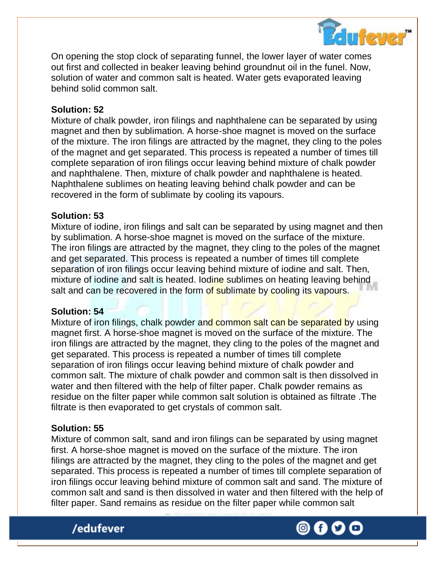

On opening the stop clock of separating funnel, the lower layer of water comes out first and collected in beaker leaving behind groundnut oil in the funel. Now, solution of water and common salt is heated. Water gets evaporated leaving behind solid common salt.

#### **Solution: 52**

Mixture of chalk powder, iron filings and naphthalene can be separated by using magnet and then by sublimation. A horse-shoe magnet is moved on the surface of the mixture. The iron filings are attracted by the magnet, they cling to the poles of the magnet and get separated. This process is repeated a number of times till complete separation of iron filings occur leaving behind mixture of chalk powder and naphthalene. Then, mixture of chalk powder and naphthalene is heated. Naphthalene sublimes on heating leaving behind chalk powder and can be recovered in the form of sublimate by cooling its vapours.

#### **Solution: 53**

Mixture of iodine, iron filings and salt can be separated by using magnet and then by sublimation. A horse-shoe magnet is moved on the surface of the mixture. The iron filings are attracted by the magnet, they cling to the poles of the magnet and get separated. This process is repeated a number of times till complete separation of iron filings occur leaving behind mixture of iodine and salt. Then, mixture of iodine and salt is heated. Iodine sublimes on heating leaving behind salt and can be recovered in the form of sublimate by cooling its vapours.

## **Solution: 54**

Mixture of iron filings, chalk powder and common salt can be separated by using magnet first. A horse-shoe magnet is moved on the surface of the mixture. The iron filings are attracted by the magnet, they cling to the poles of the magnet and get separated. This process is repeated a number of times till complete separation of iron filings occur leaving behind mixture of chalk powder and common salt. The mixture of chalk powder and common salt is then dissolved in water and then filtered with the help of filter paper. Chalk powder remains as residue on the filter paper while common salt solution is obtained as filtrate .The filtrate is then evaporated to get crystals of common salt.

## **Solution: 55**

Mixture of common salt, sand and iron filings can be separated by using magnet first. A horse-shoe magnet is moved on the surface of the mixture. The iron filings are attracted by the magnet, they cling to the poles of the magnet and get separated. This process is repeated a number of times till complete separation of iron filings occur leaving behind mixture of common salt and sand. The mixture of common salt and sand is then dissolved in water and then filtered with the help of filter paper. Sand remains as residue on the filter paper while common salt



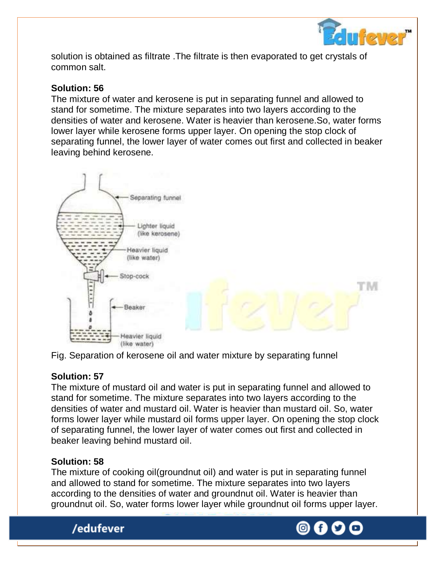

solution is obtained as filtrate .The filtrate is then evaporated to get crystals of common salt.

## **Solution: 56**

The mixture of water and kerosene is put in separating funnel and allowed to stand for sometime. The mixture separates into two layers according to the densities of water and kerosene. Water is heavier than kerosene.So, water forms lower layer while kerosene forms upper layer. On opening the stop clock of separating funnel, the lower layer of water comes out first and collected in beaker leaving behind kerosene.



Fig. Separation of kerosene oil and water mixture by separating funnel

## **Solution: 57**

The mixture of mustard oil and water is put in separating funnel and allowed to stand for sometime. The mixture separates into two layers according to the densities of water and mustard oil. Water is heavier than mustard oil. So, water forms lower layer while mustard oil forms upper layer. On opening the stop clock of separating funnel, the lower layer of water comes out first and collected in beaker leaving behind mustard oil.

## **Solution: 58**

The mixture of cooking oil(groundnut oil) and water is put in separating funnel and allowed to stand for sometime. The mixture separates into two layers according to the densities of water and groundnut oil. Water is heavier than groundnut oil. So, water forms lower layer while groundnut oil forms upper layer.



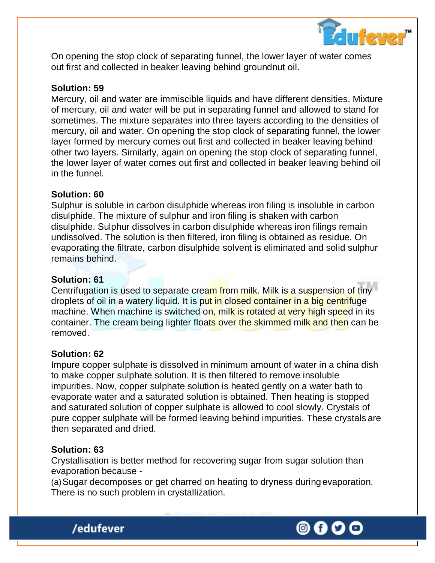

On opening the stop clock of separating funnel, the lower layer of water comes out first and collected in beaker leaving behind groundnut oil.

#### **Solution: 59**

Mercury, oil and water are immiscible liquids and have different densities. Mixture of mercury, oil and water will be put in separating funnel and allowed to stand for sometimes. The mixture separates into three layers according to the densities of mercury, oil and water. On opening the stop clock of separating funnel, the lower layer formed by mercury comes out first and collected in beaker leaving behind other two layers. Similarly, again on opening the stop clock of separating funnel, the lower layer of water comes out first and collected in beaker leaving behind oil in the funnel.

#### **Solution: 60**

Sulphur is soluble in carbon disulphide whereas iron filing is insoluble in carbon disulphide. The mixture of sulphur and iron filing is shaken with carbon disulphide. Sulphur dissolves in carbon disulphide whereas iron filings remain undissolved. The solution is then filtered, iron filing is obtained as residue. On evaporating the filtrate, carbon disulphide solvent is eliminated and solid sulphur remains behind.

#### **Solution: 61**

Centrifugation is used to separate cream from milk. Milk is a suspension of tiny droplets of oil in a watery liquid. It is put in closed container in a big centrifuge machine. When machine is switched on, milk is rotated at very high speed in its container. The cream being lighter floats over the skimmed milk and then can be removed.

#### **Solution: 62**

Impure copper sulphate is dissolved in minimum amount of water in a china dish to make copper sulphate solution. It is then filtered to remove insoluble impurities. Now, copper sulphate solution is heated gently on a water bath to evaporate water and a saturated solution is obtained. Then heating is stopped and saturated solution of copper sulphate is allowed to cool slowly. Crystals of pure copper sulphate will be formed leaving behind impurities. These crystals are then separated and dried.

#### **Solution: 63**

Crystallisation is better method for recovering sugar from sugar solution than evaporation because -

(a)Sugar decomposes or get charred on heating to dryness during evaporation. There is no such problem in crystallization.



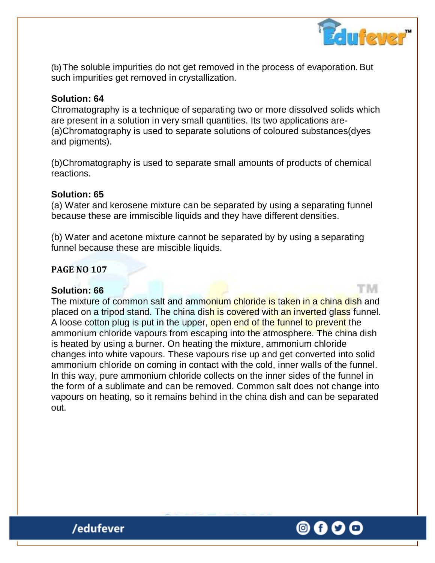

(b)The soluble impurities do not get removed in the process of evaporation. But such impurities get removed in crystallization.

#### **Solution: 64**

Chromatography is a technique of separating two or more dissolved solids which are present in a solution in very small quantities. Its two applications are- (a)Chromatography is used to separate solutions of coloured substances(dyes and pigments).

(b)Chromatography is used to separate small amounts of products of chemical reactions.

#### **Solution: 65**

(a) Water and kerosene mixture can be separated by using a separating funnel because these are immiscible liquids and they have different densities.

(b) Water and acetone mixture cannot be separated by by using a separating funnel because these are miscible liquids.

#### **PAGE NO 107**

#### **Solution: 66**

The mixture of common salt and ammonium chloride is taken in a china dish and placed on a tripod stand. The china dish is covered with an inverted glass funnel. A loose cotton plug is put in the upper, open end of the funnel to prevent the ammonium chloride vapours from escaping into the atmosphere. The china dish is heated by using a burner. On heating the mixture, ammonium chloride changes into white vapours. These vapours rise up and get converted into solid ammonium chloride on coming in contact with the cold, inner walls of the funnel. In this way, pure ammonium chloride collects on the inner sides of the funnel in the form of a sublimate and can be removed. Common salt does not change into vapours on heating, so it remains behind in the china dish and can be separated out.

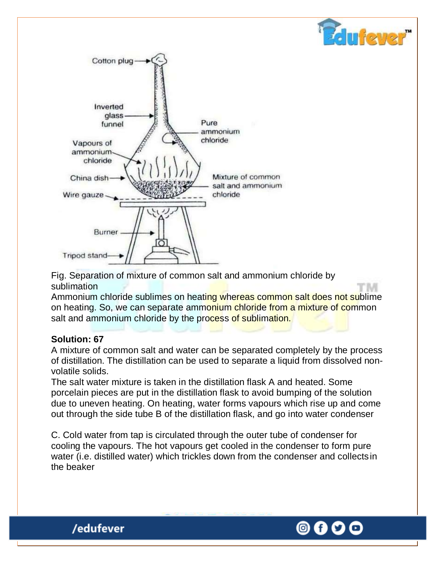

Fig. Separation of mixture of common salt and ammonium chloride by sublimation

Ammonium chloride sublimes on heating whereas common salt does not sublime on heating. So, we can separate ammonium chloride from a mixture of common salt and ammonium chloride by the process of sublimation.

## **Solution: 67**

/edufever

A mixture of common salt and water can be separated completely by the process of distillation. The distillation can be used to separate a liquid from dissolved nonvolatile solids.

The salt water mixture is taken in the distillation flask A and heated. Some porcelain pieces are put in the distillation flask to avoid bumping of the solution due to uneven heating. On heating, water forms vapours which rise up and come out through the side tube B of the distillation flask, and go into water condenser

C. Cold water from tap is circulated through the outer tube of condenser for cooling the vapours. The hot vapours get cooled in the condenser to form pure water (i.e. distilled water) which trickles down from the condenser and collectsin the beaker



 $\mathbf{u}$  few: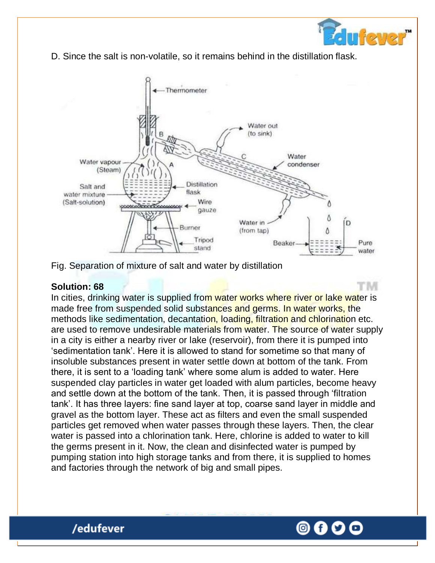

rм

D. Since the salt is non-volatile, so it remains behind in the distillation flask.



Fig. Separation of mixture of salt and water by distillation

#### **Solution: 68**

/edufever

In cities, drinking water is supplied from water works where river or lake water is made free from suspended solid substances and germs. In water works, the methods like sedimentation, decantation, loading, filtration and chlorination etc. are used to remove undesirable materials from water. The source of water supply in a city is either a nearby river or lake (reservoir), from there it is pumped into "sedimentation tank". Here it is allowed to stand for sometime so that many of insoluble substances present in water settle down at bottom of the tank. From there, it is sent to a "loading tank" where some alum is added to water. Here suspended clay particles in water get loaded with alum particles, become heavy and settle down at the bottom of the tank. Then, it is passed through "filtration tank". It has three layers: fine sand layer at top, coarse sand layer in middle and gravel as the bottom layer. These act as filters and even the small suspended particles get removed when water passes through these layers. Then, the clear water is passed into a chlorination tank. Here, chlorine is added to water to kill the germs present in it. Now, the clean and disinfected water is pumped by pumping station into high storage tanks and from there, it is supplied to homes and factories through the network of big and small pipes.

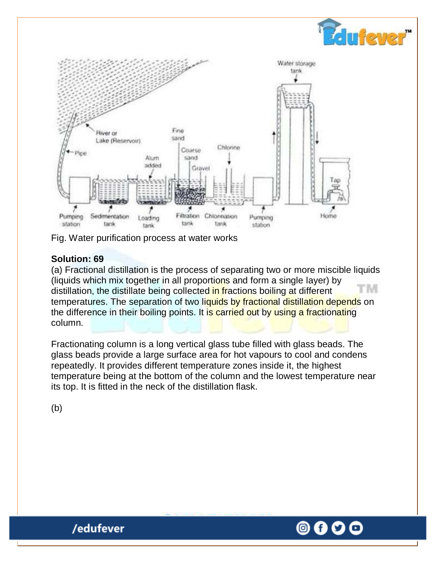

Fig. Water purification process at water works

## **Solution: 69**

(a) Fractional distillation is the process of separating two or more miscible liquids (liquids which mix together in all proportions and form a single layer) by M distillation, the distillate being collected in fractions boiling at different temperatures. The separation of two liquids by fractional distillation depends on the difference in their boiling points. It is carried out by using a fractionating column.

Fractionating column is a long vertical glass tube filled with glass beads. The glass beads provide a large surface area for hot vapours to cool and condens repeatedly. It provides different temperature zones inside it, the highest temperature being at the bottom of the column and the lowest temperature near its top. It is fitted in the neck of the distillation flask.

(b)

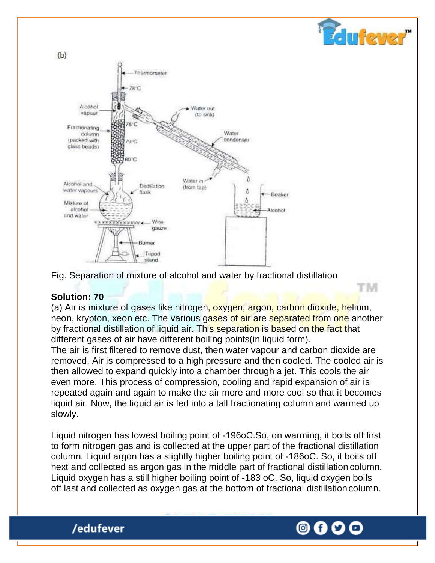

Fig. Separation of mixture of alcohol and water by fractional distillation

#### **Solution: 70**

/edufever

(a) Air is mixture of gases like nitrogen, oxygen, argon, carbon dioxide, helium, neon, krypton, xeon etc. The various gases of air are separated from one another by fractional distillation of liquid air. This separation is based on the fact that different gases of air have different boiling points(in liquid form).

The air is first filtered to remove dust, then water vapour and carbon dioxide are removed. Air is compressed to a high pressure and then cooled. The cooled air is then allowed to expand quickly into a chamber through a jet. This cools the air even more. This process of compression, cooling and rapid expansion of air is repeated again and again to make the air more and more cool so that it becomes liquid air. Now, the liquid air is fed into a tall fractionating column and warmed up slowly.

Liquid nitrogen has lowest boiling point of -196oC.So, on warming, it boils off first to form nitrogen gas and is collected at the upper part of the fractional distillation column. Liquid argon has a slightly higher boiling point of -186oC. So, it boils off next and collected as argon gas in the middle part of fractional distillation column. Liquid oxygen has a still higher boiling point of -183 oC. So, liquid oxygen boils off last and collected as oxygen gas at the bottom of fractional distillationcolumn.



ufever

TM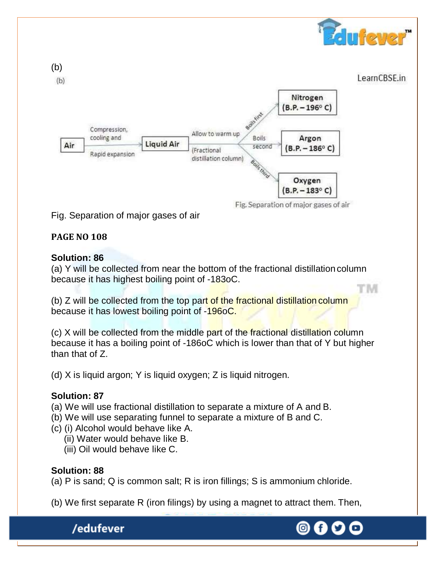

Fig. Separation of major gases of air

## **PAGE NO 108**

#### **Solution: 86**

(a) Y will be collected from near the bottom of the fractional distillationcolumn because it has highest boiling point of -183oC.

(b) Z will be collected from the top part of the fractional distillation column because it has lowest boiling point of -196oC.

(c) X will be collected from the middle part of the fractional distillation column because it has a boiling point of -186oC which is lower than that of Y but higher than that of Z.

(d) X is liquid argon; Y is liquid oxygen; Z is liquid nitrogen.

## **Solution: 87**

- (a) We will use fractional distillation to separate a mixture of A and B.
- (b) We will use separating funnel to separate a mixture of B and C.
- (c) (i) Alcohol would behave like A.
	- (ii) Water would behave like B.
	- (iii) Oil would behave like C.

## **Solution: 88**

(a) P is sand; Q is common salt; R is iron fillings; S is ammonium chloride.

(b) We first separate R (iron filings) by using a magnet to attract them. Then,

/edufever



M